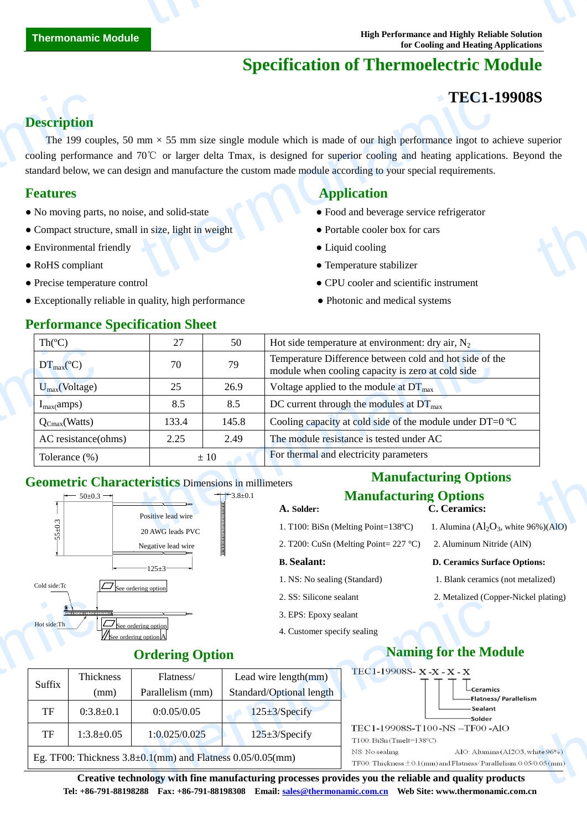# **Specification of Thermoelectric Module**

## **TEC1-19908S**

### **Description**

The 199 couples, 50 mm  $\times$  55 mm size single module which is made of our high performance ingot to achieve superior cooling performance and 70℃ or larger delta Tmax, is designed for superior cooling and heating applications. Beyond the standard below, we can design and manufacture the custom made module according to your special requirements. **Description**<br>The 199 coup<br>cooling performan<br>standard below, we<br>**Features**<br>• No moving parts<br>• Compact structu<br>• Environmental f TEC1-1<br>
mm  $\times$  55 mm size single module which is made of our high performance ingot to a<br>
70°C or larger delta Tmax, is designed for superior cooling and heating application<br>
se, and solid-state<br>
in size, light in weight S<br>uperior<br>md the

### **Features Application Application**

- No moving parts, no noise, and solid-state Food and beverage service refrigerator
- Compact structure, small in size, light in weight Portable cooler box for cars
- Environmental friendly <br>• Liquid cooling
- 
- 
- Exceptionally reliable in quality, high performance Photonic and medical systems

- 
- 
- 
- RoHS compliant Temperature stabilizer
- Precise temperature control CPU cooler and scientific instrument
	-

| Th $(C)$                                                                      | 27                                     | 50             | Hot side temperature at environment: dry air, $N_2$                                                          |  |  |
|-------------------------------------------------------------------------------|----------------------------------------|----------------|--------------------------------------------------------------------------------------------------------------|--|--|
| $DT_{\text{max}}(C)$                                                          | 70                                     | 79             | Temperature Difference between cold and hot side of the<br>module when cooling capacity is zero at cold side |  |  |
| $U_{max}(Voltage)$                                                            | 25                                     | 26.9<br>8.5    | Voltage applied to the module at $DT_{\text{max}}$<br>DC current through the modules at $DT_{\text{max}}$    |  |  |
| $I_{max}(amps)$                                                               | 8.5                                    |                |                                                                                                              |  |  |
| $Q_{Cmax}(Watts)$                                                             | 133.4                                  | 145.8          | Cooling capacity at cold side of the module under DT=0 $\mathbb{C}$                                          |  |  |
| AC resistance(ohms)                                                           | 2.25                                   | 2.49           | The module resistance is tested under AC                                                                     |  |  |
| Tolerance (%)<br>$\pm 10$                                                     |                                        |                | For thermal and electricity parameters                                                                       |  |  |
| <b>Geometric Characteristics Dimensions in millimeters</b><br>$-50 \pm 0.3 -$ |                                        | $-3.8 \pm 0.1$ | <b>Manufacturing Options</b><br><b>Manufacturing Options</b><br>C. Ceramics:<br>A. Solder:                   |  |  |
|                                                                               | Positive lead wire<br>20 AWG leads PVC |                | 1. Alumina $(Al_2O_3)$ , white 96% $(AIO)$<br>1. T100: BiSn (Melting Point=138 $\mathbb{C}$ )                |  |  |

### **Geometric Characteristics** Dimensions in millimeters



### **Manufacturing Options Manufacturing Options**

- **A. Solder: C. Ceramics:**
- 1. T100: BiSn (Melting Point=138 °C) 1. Alumina ( $Al_2O_3$ , white 96%)(AlO) 2. T200: CuSn (Melting Point= 227 °C) 2. Aluminum Nitride (AlN)

### **B. Sealant: D. Ceramics Surface Options:**

- 1. NS: No sealing (Standard) 1. Blank ceramics (not metalized)
- 2. SS: Silicone sealant 2. Metalized (Copper-Nickel plating)
- 3. EPS: Epoxy sealant
- 4. Customer specify sealing

# **Ordering Option Naming for the Module**

|                                                                                                      |                                                                      | $\mathcal{L}$ . DD. DIIICOIIC SCAIAII |                                                                                                          | 2. Metanzeu (Copper-Nickel platting)  |  |  |  |  |  |
|------------------------------------------------------------------------------------------------------|----------------------------------------------------------------------|---------------------------------------|----------------------------------------------------------------------------------------------------------|---------------------------------------|--|--|--|--|--|
| <b>.</b>                                                                                             |                                                                      | 3. EPS: Epoxy sealant                 |                                                                                                          |                                       |  |  |  |  |  |
| Hot side: Th                                                                                         | $\boxed{\Box}$ See ordering option<br>// See ordering option         |                                       | 4. Customer specify sealing                                                                              |                                       |  |  |  |  |  |
|                                                                                                      | <b>Ordering Option</b>                                               |                                       | <b>Naming for the Module</b>                                                                             |                                       |  |  |  |  |  |
| Thickness<br>Suffix                                                                                  | Flatness/                                                            | Lead wire length(mm)                  | TEC1-19908S-X-X-X-X                                                                                      | $L$ Ceramics<br>-Flatness/Parallelism |  |  |  |  |  |
| (mm)                                                                                                 | Parallelism (mm)                                                     | Standard/Optional length              | TEC1-19908S-T100-NS-TF00-AlO<br>$T100$ : BiSn(Tmelt=138 $°C$ )                                           |                                       |  |  |  |  |  |
| TF<br>$0:3.8 \pm 0.1$                                                                                | 0:0.05/0.05                                                          | $125 \pm 3$ /Specify                  |                                                                                                          | -Sealant<br>-Solder                   |  |  |  |  |  |
| TF<br>$1:3.8 \pm 0.05$                                                                               | 1:0.025/0.025                                                        | $125 \pm 3$ /Specify                  |                                                                                                          |                                       |  |  |  |  |  |
|                                                                                                      | Eg. TF00: Thickness $3.8 \pm 0.1$ (mm) and Flatness $0.05/0.05$ (mm) | NS: No sealing                        | AlO: Alumina (Al2O3, white 96%)<br>TF00: Thickness $\pm$ 0.1(mm) and Flatness/Parallelism: 0.05/0.05(mm) |                                       |  |  |  |  |  |
| Creative technology with fine manufacturing processes provides you the reliable and quality products |                                                                      |                                       |                                                                                                          |                                       |  |  |  |  |  |
|                                                                                                      |                                                                      |                                       |                                                                                                          |                                       |  |  |  |  |  |

**Creative technology with fine manufacturing processes provides you the reliable and quality products Tel: +86-791-88198288 Fax: +86-791-88198308 Email: sales@thermonamic.com.cn Web Site: www.thermonamic.com.cn**

### **Performance Specification Sheet**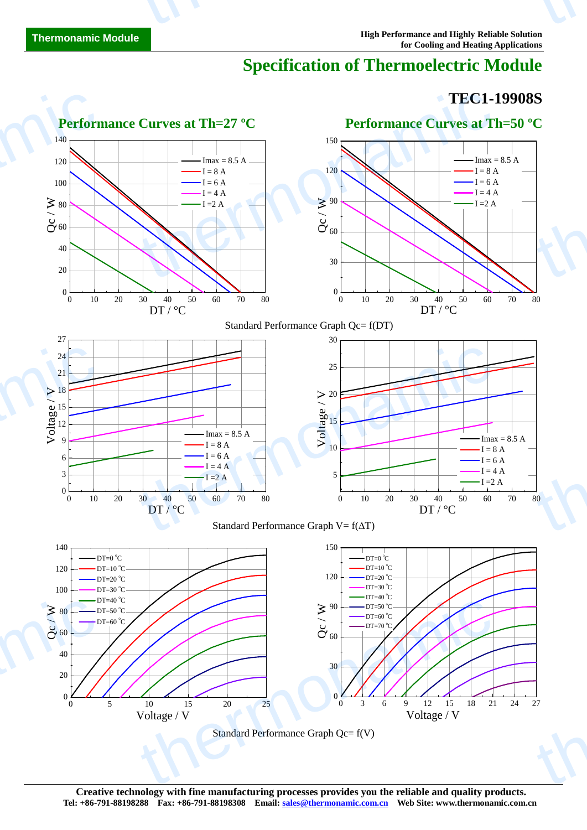# **Specification of Thermoelectric Module**

### **TEC1-19908S**